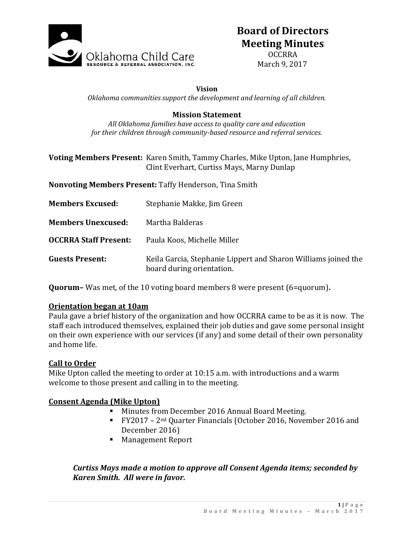

# **Board of Directors Meeting Minutes**

OCCRRA March 9, 2017

#### **Vision**

*Oklahoma communities support the development and learning of all children.*

#### **Mission Statement**

*All Oklahoma families have access to quality care and education for their children through community-based resource and referral services.*

## **Voting Members Present:** Karen Smith, Tammy Charles, Mike Upton, Jane Humphries, Clint Everhart, Curtiss Mays, Marny Dunlap

**Nonvoting Members Present:** Taffy Henderson, Tina Smith

| <b>Members Excused:</b>      | Stephanie Makke, Jim Green                                                                  |
|------------------------------|---------------------------------------------------------------------------------------------|
| <b>Members Unexcused:</b>    | Martha Balderas                                                                             |
| <b>OCCRRA Staff Present:</b> | Paula Koos, Michelle Miller                                                                 |
| <b>Guests Present:</b>       | Keila Garcia, Stephanie Lippert and Sharon Williams joined the<br>board during orientation. |

**Quorum–** Was met, of the 10 voting board members 8 were present (6=quorum)**.**

## **Orientation began at 10am**

Paula gave a brief history of the organization and how OCCRRA came to be as it is now. The staff each introduced themselves, explained their job duties and gave some personal insight on their own experience with our services (if any) and some detail of their own personality and home life.

#### **Call to Order**

Mike Upton called the meeting to order at 10:15 a.m. with introductions and a warm welcome to those present and calling in to the meeting.

#### **Consent Agenda (Mike Upton)**

- **Minutes from December 2016 Annual Board Meeting.**
- FY2017 2nd Quarter Financials (October 2016, November 2016 and December 2016)
- **Management Report**

# *Curtiss Mays made a motion to approve all Consent Agenda items; seconded by Karen Smith. All were in favor.*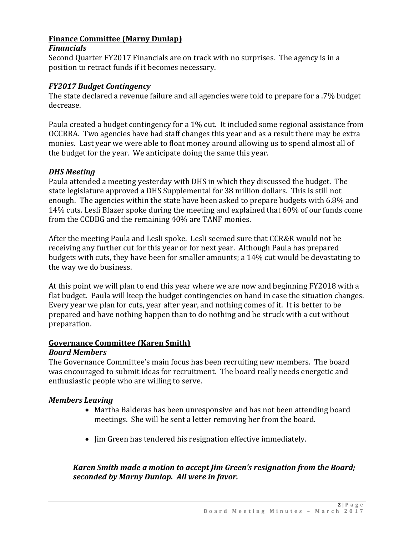# **Finance Committee (Marny Dunlap)**

#### *Financials*

Second Quarter FY2017 Financials are on track with no surprises. The agency is in a position to retract funds if it becomes necessary.

## *FY2017 Budget Contingency*

The state declared a revenue failure and all agencies were told to prepare for a .7% budget decrease.

Paula created a budget contingency for a 1% cut. It included some regional assistance from OCCRRA. Two agencies have had staff changes this year and as a result there may be extra monies. Last year we were able to float money around allowing us to spend almost all of the budget for the year. We anticipate doing the same this year.

# *DHS Meeting*

Paula attended a meeting yesterday with DHS in which they discussed the budget. The state legislature approved a DHS Supplemental for 38 million dollars. This is still not enough. The agencies within the state have been asked to prepare budgets with 6.8% and 14% cuts. Lesli Blazer spoke during the meeting and explained that 60% of our funds come from the CCDBG and the remaining 40% are TANF monies.

After the meeting Paula and Lesli spoke. Lesli seemed sure that CCR&R would not be receiving any further cut for this year or for next year. Although Paula has prepared budgets with cuts, they have been for smaller amounts; a 14% cut would be devastating to the way we do business.

At this point we will plan to end this year where we are now and beginning FY2018 with a flat budget. Paula will keep the budget contingencies on hand in case the situation changes. Every year we plan for cuts, year after year, and nothing comes of it. It is better to be prepared and have nothing happen than to do nothing and be struck with a cut without preparation.

# **Governance Committee (Karen Smith)**

## *Board Members*

The Governance Committee's main focus has been recruiting new members. The board was encouraged to submit ideas for recruitment. The board really needs energetic and enthusiastic people who are willing to serve.

# *Members Leaving*

- Martha Balderas has been unresponsive and has not been attending board meetings. She will be sent a letter removing her from the board.
- Jim Green has tendered his resignation effective immediately.

# *Karen Smith made a motion to accept Jim Green's resignation from the Board; seconded by Marny Dunlap. All were in favor.*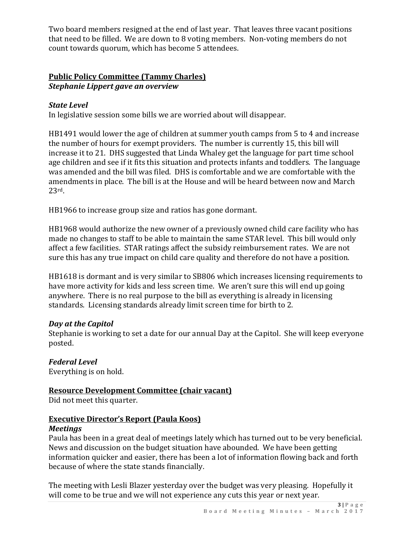Two board members resigned at the end of last year. That leaves three vacant positions that need to be filled. We are down to 8 voting members. Non-voting members do not count towards quorum, which has become 5 attendees.

## **Public Policy Committee (Tammy Charles)** *Stephanie Lippert gave an overview*

# *State Level*

In legislative session some bills we are worried about will disappear.

HB1491 would lower the age of children at summer youth camps from 5 to 4 and increase the number of hours for exempt providers. The number is currently 15, this bill will increase it to 21. DHS suggested that Linda Whaley get the language for part time school age children and see if it fits this situation and protects infants and toddlers. The language was amended and the bill was filed. DHS is comfortable and we are comfortable with the amendments in place. The bill is at the House and will be heard between now and March 23rd.

HB1966 to increase group size and ratios has gone dormant.

HB1968 would authorize the new owner of a previously owned child care facility who has made no changes to staff to be able to maintain the same STAR level. This bill would only affect a few facilities. STAR ratings affect the subsidy reimbursement rates. We are not sure this has any true impact on child care quality and therefore do not have a position.

HB1618 is dormant and is very similar to SB806 which increases licensing requirements to have more activity for kids and less screen time. We aren't sure this will end up going anywhere. There is no real purpose to the bill as everything is already in licensing standards. Licensing standards already limit screen time for birth to 2.

## *Day at the Capitol*

Stephanie is working to set a date for our annual Day at the Capitol. She will keep everyone posted.

*Federal Level* Everything is on hold.

**Resource Development Committee (chair vacant)** Did not meet this quarter.

## **Executive Director's Report (Paula Koos)** *Meetings*

Paula has been in a great deal of meetings lately which has turned out to be very beneficial. News and discussion on the budget situation have abounded. We have been getting information quicker and easier, there has been a lot of information flowing back and forth because of where the state stands financially.

The meeting with Lesli Blazer yesterday over the budget was very pleasing. Hopefully it will come to be true and we will not experience any cuts this year or next year.